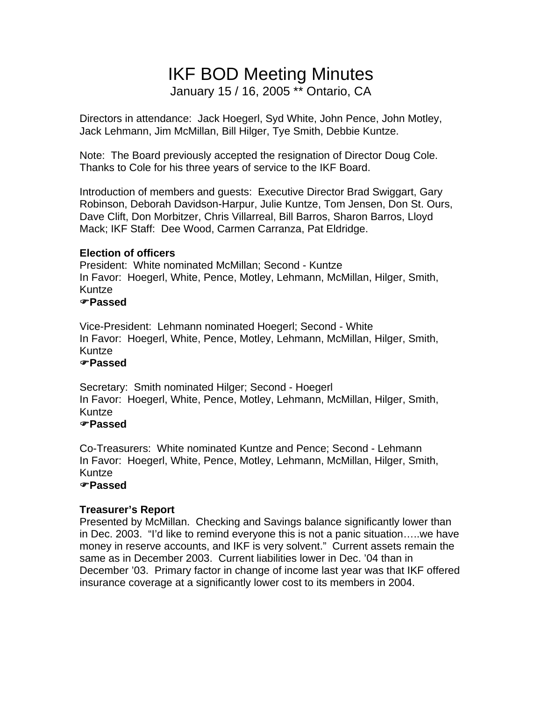# IKF BOD Meeting Minutes January 15 / 16, 2005 \*\* Ontario, CA

Directors in attendance: Jack Hoegerl, Syd White, John Pence, John Motley, Jack Lehmann, Jim McMillan, Bill Hilger, Tye Smith, Debbie Kuntze.

Note: The Board previously accepted the resignation of Director Doug Cole. Thanks to Cole for his three years of service to the IKF Board.

Introduction of members and guests: Executive Director Brad Swiggart, Gary Robinson, Deborah Davidson-Harpur, Julie Kuntze, Tom Jensen, Don St. Ours, Dave Clift, Don Morbitzer, Chris Villarreal, Bill Barros, Sharon Barros, Lloyd Mack; IKF Staff: Dee Wood, Carmen Carranza, Pat Eldridge.

# **Election of officers**

President: White nominated McMillan; Second - Kuntze In Favor: Hoegerl, White, Pence, Motley, Lehmann, McMillan, Hilger, Smith, Kuntze

### )**Passed**

Vice-President: Lehmann nominated Hoegerl; Second - White In Favor: Hoegerl, White, Pence, Motley, Lehmann, McMillan, Hilger, Smith, Kuntze

# )**Passed**

Secretary: Smith nominated Hilger; Second - Hoegerl In Favor: Hoegerl, White, Pence, Motley, Lehmann, McMillan, Hilger, Smith, Kuntze

### )**Passed**

Co-Treasurers: White nominated Kuntze and Pence; Second - Lehmann In Favor: Hoegerl, White, Pence, Motley, Lehmann, McMillan, Hilger, Smith, Kuntze

# )**Passed**

# **Treasurer's Report**

Presented by McMillan. Checking and Savings balance significantly lower than in Dec. 2003. "I'd like to remind everyone this is not a panic situation…..we have money in reserve accounts, and IKF is very solvent." Current assets remain the same as in December 2003. Current liabilities lower in Dec. '04 than in December '03. Primary factor in change of income last year was that IKF offered insurance coverage at a significantly lower cost to its members in 2004.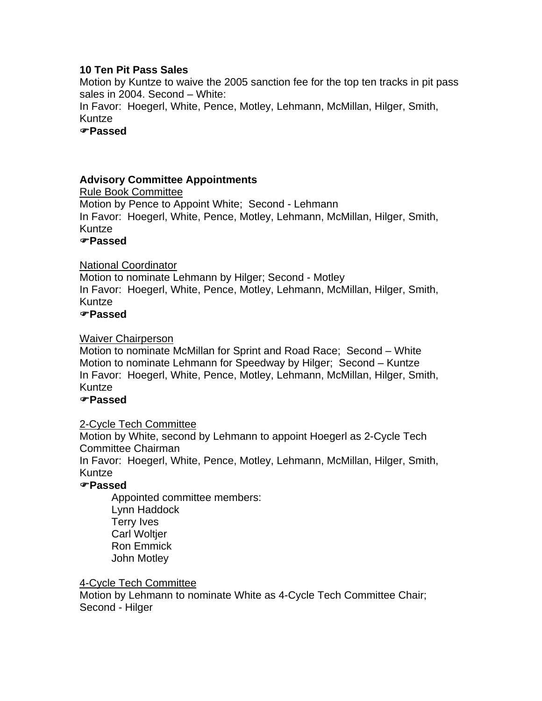# **10 Ten Pit Pass Sales**

Motion by Kuntze to waive the 2005 sanction fee for the top ten tracks in pit pass sales in 2004. Second – White:

In Favor: Hoegerl, White, Pence, Motley, Lehmann, McMillan, Hilger, Smith, Kuntze

)**Passed**

# **Advisory Committee Appointments**

Rule Book Committee Motion by Pence to Appoint White; Second - Lehmann In Favor: Hoegerl, White, Pence, Motley, Lehmann, McMillan, Hilger, Smith, Kuntze

# )**Passed**

### National Coordinator

Motion to nominate Lehmann by Hilger; Second - Motley In Favor: Hoegerl, White, Pence, Motley, Lehmann, McMillan, Hilger, Smith, Kuntze

### )**Passed**

### Waiver Chairperson

Motion to nominate McMillan for Sprint and Road Race; Second – White Motion to nominate Lehmann for Speedway by Hilger; Second – Kuntze In Favor: Hoegerl, White, Pence, Motley, Lehmann, McMillan, Hilger, Smith, Kuntze

# )**Passed**

### 2-Cycle Tech Committee

Motion by White, second by Lehmann to appoint Hoegerl as 2-Cycle Tech Committee Chairman

In Favor: Hoegerl, White, Pence, Motley, Lehmann, McMillan, Hilger, Smith, Kuntze

### )**Passed**

 Appointed committee members: Lynn Haddock Terry Ives **Carl Woltier**  Ron Emmick John Motley

4-Cycle Tech Committee

Motion by Lehmann to nominate White as 4-Cycle Tech Committee Chair; Second - Hilger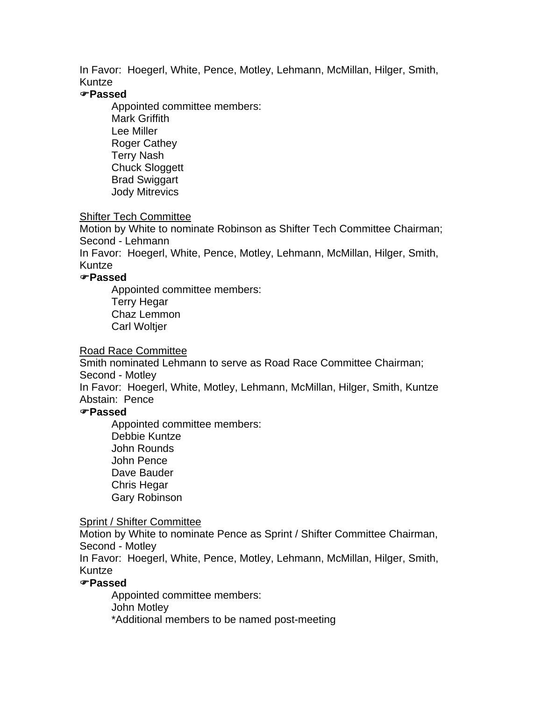In Favor: Hoegerl, White, Pence, Motley, Lehmann, McMillan, Hilger, Smith, Kuntze

#### )**Passed**

 Appointed committee members: Mark Griffith Lee Miller Roger Cathey Terry Nash Chuck Sloggett Brad Swiggart Jody Mitrevics

### Shifter Tech Committee

Motion by White to nominate Robinson as Shifter Tech Committee Chairman; Second - Lehmann

In Favor: Hoegerl, White, Pence, Motley, Lehmann, McMillan, Hilger, Smith, Kuntze

# )**Passed**

 Appointed committee members: Terry Hegar Chaz Lemmon Carl Woltjer

#### Road Race Committee

Smith nominated Lehmann to serve as Road Race Committee Chairman; Second - Motley

In Favor: Hoegerl, White, Motley, Lehmann, McMillan, Hilger, Smith, Kuntze Abstain: Pence

#### )**Passed**

 Appointed committee members: Debbie Kuntze John Rounds John Pence Dave Bauder Chris Hegar Gary Robinson

#### Sprint / Shifter Committee

Motion by White to nominate Pence as Sprint / Shifter Committee Chairman, Second - Motley

In Favor: Hoegerl, White, Pence, Motley, Lehmann, McMillan, Hilger, Smith, Kuntze

#### )**Passed**

 Appointed committee members: John Motley \*Additional members to be named post-meeting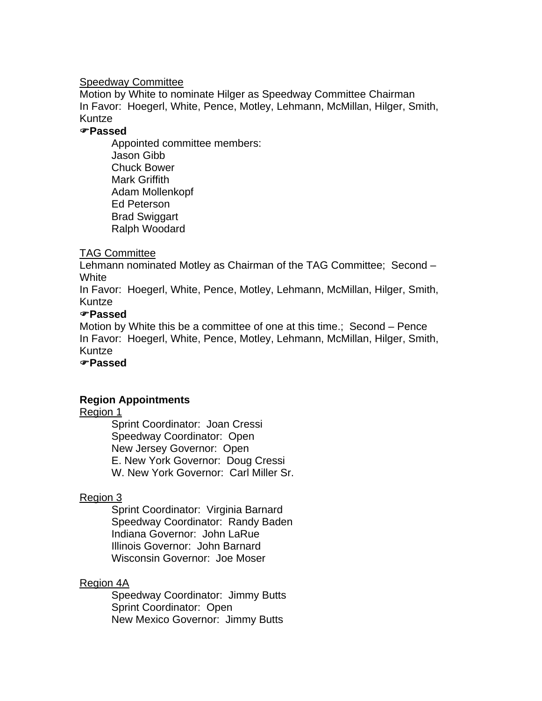#### Speedway Committee

Motion by White to nominate Hilger as Speedway Committee Chairman In Favor: Hoegerl, White, Pence, Motley, Lehmann, McMillan, Hilger, Smith, Kuntze

### )**Passed**

Appointed committee members: Jason Gibb Chuck Bower Mark Griffith Adam Mollenkopf Ed Peterson Brad Swiggart Ralph Woodard

### TAG Committee

Lehmann nominated Motley as Chairman of the TAG Committee; Second – **White** 

In Favor: Hoegerl, White, Pence, Motley, Lehmann, McMillan, Hilger, Smith, Kuntze

### )**Passed**

Motion by White this be a committee of one at this time.; Second – Pence In Favor: Hoegerl, White, Pence, Motley, Lehmann, McMillan, Hilger, Smith, Kuntze

### )**Passed**

### **Region Appointments**

#### Region 1

 Sprint Coordinator: Joan Cressi Speedway Coordinator: Open New Jersey Governor: Open E. New York Governor: Doug Cressi W. New York Governor: Carl Miller Sr.

### Region 3

 Sprint Coordinator: Virginia Barnard Speedway Coordinator: Randy Baden Indiana Governor: John LaRue Illinois Governor: John Barnard Wisconsin Governor: Joe Moser

### Region 4A

 Speedway Coordinator: Jimmy Butts Sprint Coordinator: Open New Mexico Governor: Jimmy Butts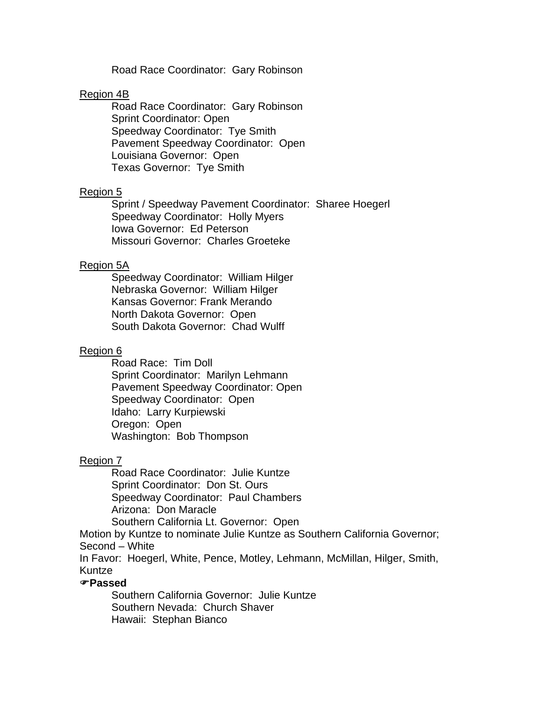Road Race Coordinator: Gary Robinson

#### Region 4B

 Road Race Coordinator: Gary Robinson Sprint Coordinator: Open Speedway Coordinator: Tye Smith Pavement Speedway Coordinator: Open Louisiana Governor: Open Texas Governor: Tye Smith

#### Region 5

 Sprint / Speedway Pavement Coordinator: Sharee Hoegerl Speedway Coordinator: Holly Myers Iowa Governor: Ed Peterson Missouri Governor: Charles Groeteke

#### Region 5A

 Speedway Coordinator: William Hilger Nebraska Governor: William Hilger Kansas Governor: Frank Merando North Dakota Governor: Open South Dakota Governor: Chad Wulff

#### Region 6

 Road Race: Tim Doll Sprint Coordinator: Marilyn Lehmann Pavement Speedway Coordinator: Open Speedway Coordinator: Open Idaho: Larry Kurpiewski Oregon: Open Washington: Bob Thompson

#### Region 7

 Road Race Coordinator: Julie Kuntze Sprint Coordinator: Don St. Ours Speedway Coordinator: Paul Chambers Arizona: Don Maracle

Southern California Lt. Governor: Open

Motion by Kuntze to nominate Julie Kuntze as Southern California Governor; Second – White

In Favor: Hoegerl, White, Pence, Motley, Lehmann, McMillan, Hilger, Smith, Kuntze

#### )**Passed**

 Southern California Governor: Julie Kuntze Southern Nevada: Church Shaver Hawaii: Stephan Bianco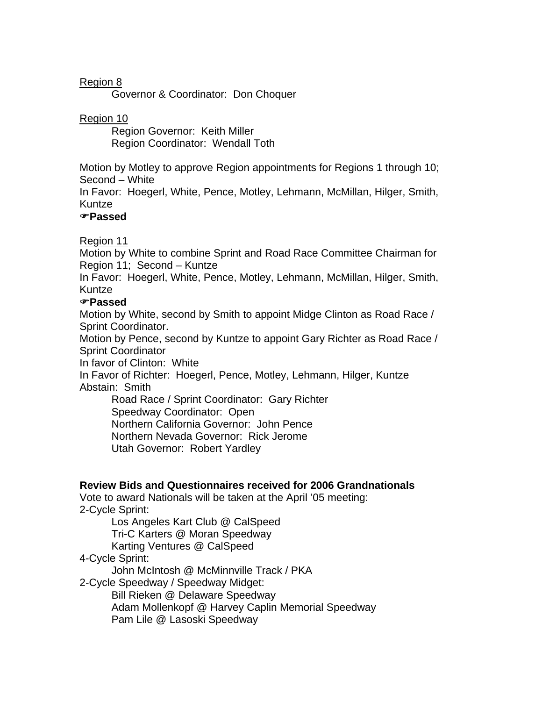# Region 8

Governor & Coordinator: Don Choquer

### Region 10

 Region Governor: Keith Miller Region Coordinator: Wendall Toth

Motion by Motley to approve Region appointments for Regions 1 through 10; Second – White

In Favor: Hoegerl, White, Pence, Motley, Lehmann, McMillan, Hilger, Smith, Kuntze

### )**Passed**

### Region 11

Motion by White to combine Sprint and Road Race Committee Chairman for Region 11; Second – Kuntze

In Favor: Hoegerl, White, Pence, Motley, Lehmann, McMillan, Hilger, Smith, Kuntze

### )**Passed**

Motion by White, second by Smith to appoint Midge Clinton as Road Race / Sprint Coordinator.

Motion by Pence, second by Kuntze to appoint Gary Richter as Road Race / Sprint Coordinator

In favor of Clinton: White

In Favor of Richter: Hoegerl, Pence, Motley, Lehmann, Hilger, Kuntze Abstain: Smith

 Road Race / Sprint Coordinator: Gary Richter Speedway Coordinator: Open Northern California Governor: John Pence Northern Nevada Governor: Rick Jerome Utah Governor: Robert Yardley

### **Review Bids and Questionnaires received for 2006 Grandnationals**

Vote to award Nationals will be taken at the April '05 meeting: 2-Cycle Sprint:

Los Angeles Kart Club @ CalSpeed Tri-C Karters @ Moran Speedway Karting Ventures @ CalSpeed

### 4-Cycle Sprint:

John McIntosh @ McMinnville Track / PKA

2-Cycle Speedway / Speedway Midget:

Bill Rieken @ Delaware Speedway

Adam Mollenkopf @ Harvey Caplin Memorial Speedway Pam Lile @ Lasoski Speedway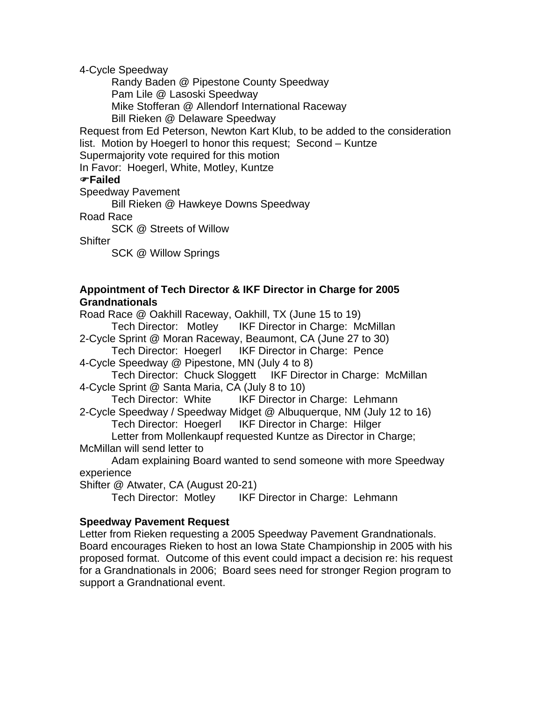4-Cycle Speedway

 Randy Baden @ Pipestone County Speedway Pam Lile @ Lasoski Speedway Mike Stofferan @ Allendorf International Raceway Bill Rieken @ Delaware Speedway

Request from Ed Peterson, Newton Kart Klub, to be added to the consideration list. Motion by Hoegerl to honor this request; Second – Kuntze Supermajority vote required for this motion

In Favor: Hoegerl, White, Motley, Kuntze

### )**Failed**

Speedway Pavement

Bill Rieken @ Hawkeye Downs Speedway

Road Race

SCK @ Streets of Willow

**Shifter** 

SCK @ Willow Springs

### **Appointment of Tech Director & IKF Director in Charge for 2005 Grandnationals**

Road Race @ Oakhill Raceway, Oakhill, TX (June 15 to 19) Tech Director: Motley IKF Director in Charge: McMillan

2-Cycle Sprint @ Moran Raceway, Beaumont, CA (June 27 to 30)

Tech Director: Hoegerl IKF Director in Charge: Pence 4-Cycle Speedway @ Pipestone, MN (July 4 to 8)

 Tech Director: Chuck Sloggett IKF Director in Charge: McMillan 4-Cycle Sprint @ Santa Maria, CA (July 8 to 10)

Tech Director: White IKF Director in Charge: Lehmann

2-Cycle Speedway / Speedway Midget @ Albuquerque, NM (July 12 to 16) Tech Director: Hoegerl IKF Director in Charge: Hilger

 Letter from Mollenkaupf requested Kuntze as Director in Charge; McMillan will send letter to

Adam explaining Board wanted to send someone with more Speedway experience

Shifter @ Atwater, CA (August 20-21)

Tech Director: Motley IKF Director in Charge: Lehmann

### **Speedway Pavement Request**

Letter from Rieken requesting a 2005 Speedway Pavement Grandnationals. Board encourages Rieken to host an Iowa State Championship in 2005 with his proposed format. Outcome of this event could impact a decision re: his request for a Grandnationals in 2006; Board sees need for stronger Region program to support a Grandnational event.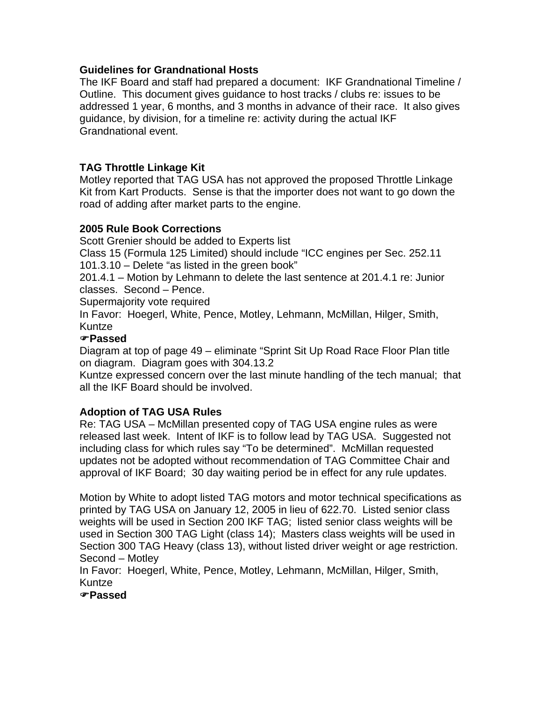### **Guidelines for Grandnational Hosts**

The IKF Board and staff had prepared a document: IKF Grandnational Timeline / Outline. This document gives guidance to host tracks / clubs re: issues to be addressed 1 year, 6 months, and 3 months in advance of their race. It also gives guidance, by division, for a timeline re: activity during the actual IKF Grandnational event.

## **TAG Throttle Linkage Kit**

Motley reported that TAG USA has not approved the proposed Throttle Linkage Kit from Kart Products. Sense is that the importer does not want to go down the road of adding after market parts to the engine.

# **2005 Rule Book Corrections**

Scott Grenier should be added to Experts list

Class 15 (Formula 125 Limited) should include "ICC engines per Sec. 252.11 101.3.10 – Delete "as listed in the green book"

201.4.1 – Motion by Lehmann to delete the last sentence at 201.4.1 re: Junior classes. Second – Pence.

Supermajority vote required

In Favor: Hoegerl, White, Pence, Motley, Lehmann, McMillan, Hilger, Smith, Kuntze

### )**Passed**

Diagram at top of page 49 – eliminate "Sprint Sit Up Road Race Floor Plan title on diagram. Diagram goes with 304.13.2

Kuntze expressed concern over the last minute handling of the tech manual; that all the IKF Board should be involved.

### **Adoption of TAG USA Rules**

Re: TAG USA – McMillan presented copy of TAG USA engine rules as were released last week. Intent of IKF is to follow lead by TAG USA. Suggested not including class for which rules say "To be determined". McMillan requested updates not be adopted without recommendation of TAG Committee Chair and approval of IKF Board; 30 day waiting period be in effect for any rule updates.

Motion by White to adopt listed TAG motors and motor technical specifications as printed by TAG USA on January 12, 2005 in lieu of 622.70. Listed senior class weights will be used in Section 200 IKF TAG; listed senior class weights will be used in Section 300 TAG Light (class 14); Masters class weights will be used in Section 300 TAG Heavy (class 13), without listed driver weight or age restriction. Second – Motley

In Favor: Hoegerl, White, Pence, Motley, Lehmann, McMillan, Hilger, Smith, Kuntze

)**Passed**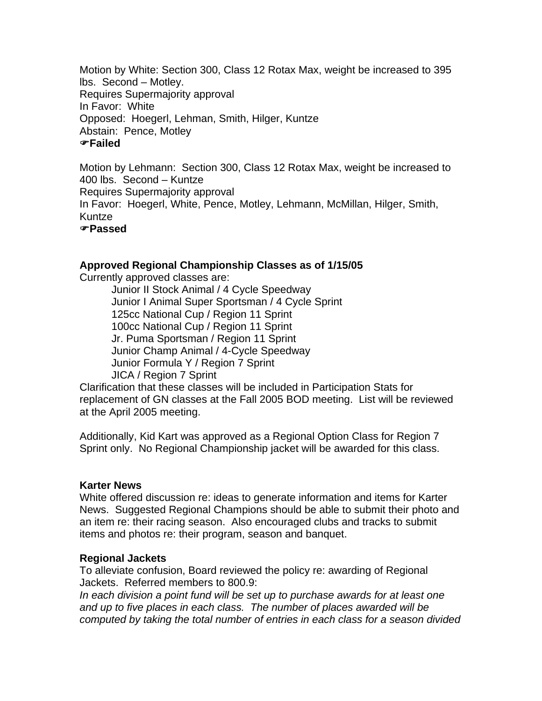Motion by White: Section 300, Class 12 Rotax Max, weight be increased to 395 lbs. Second – Motley. Requires Supermajority approval In Favor: White Opposed: Hoegerl, Lehman, Smith, Hilger, Kuntze Abstain: Pence, Motley )**Failed**

Motion by Lehmann: Section 300, Class 12 Rotax Max, weight be increased to 400 lbs. Second – Kuntze Requires Supermajority approval In Favor: Hoegerl, White, Pence, Motley, Lehmann, McMillan, Hilger, Smith, Kuntze )**Passed**

#### **Approved Regional Championship Classes as of 1/15/05**

Currently approved classes are:

 Junior II Stock Animal / 4 Cycle Speedway Junior I Animal Super Sportsman / 4 Cycle Sprint 125cc National Cup / Region 11 Sprint 100cc National Cup / Region 11 Sprint Jr. Puma Sportsman / Region 11 Sprint Junior Champ Animal / 4-Cycle Speedway Junior Formula Y / Region 7 Sprint JICA / Region 7 Sprint

Clarification that these classes will be included in Participation Stats for replacement of GN classes at the Fall 2005 BOD meeting. List will be reviewed at the April 2005 meeting.

Additionally, Kid Kart was approved as a Regional Option Class for Region 7 Sprint only. No Regional Championship jacket will be awarded for this class.

#### **Karter News**

White offered discussion re: ideas to generate information and items for Karter News. Suggested Regional Champions should be able to submit their photo and an item re: their racing season. Also encouraged clubs and tracks to submit items and photos re: their program, season and banquet.

#### **Regional Jackets**

To alleviate confusion, Board reviewed the policy re: awarding of Regional Jackets. Referred members to 800.9:

*In each division a point fund will be set up to purchase awards for at least one and up to five places in each class. The number of places awarded will be computed by taking the total number of entries in each class for a season divided*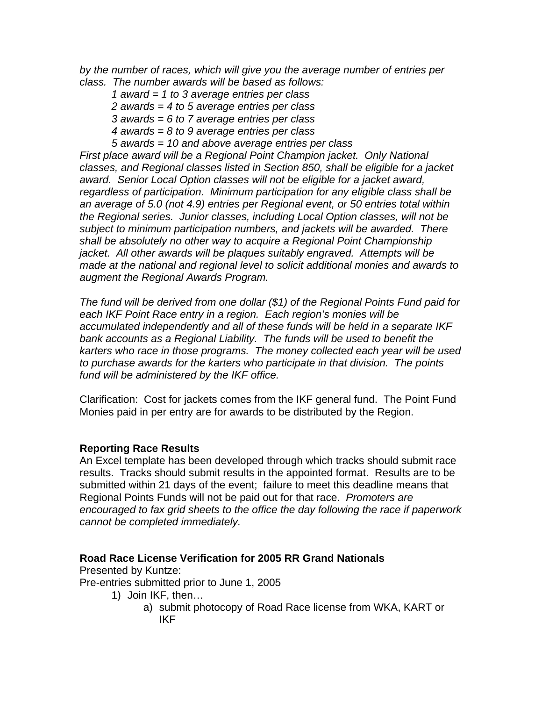*by the number of races, which will give you the average number of entries per class. The number awards will be based as follows:* 

- *1 award = 1 to 3 average entries per class*
- *2 awards = 4 to 5 average entries per class*
- *3 awards = 6 to 7 average entries per class*
- *4 awards = 8 to 9 average entries per class*
- *5 awards = 10 and above average entries per class*

*First place award will be a Regional Point Champion jacket. Only National classes, and Regional classes listed in Section 850, shall be eligible for a jacket award. Senior Local Option classes will not be eligible for a jacket award, regardless of participation. Minimum participation for any eligible class shall be an average of 5.0 (not 4.9) entries per Regional event, or 50 entries total within the Regional series. Junior classes, including Local Option classes, will not be subject to minimum participation numbers, and jackets will be awarded. There shall be absolutely no other way to acquire a Regional Point Championship jacket. All other awards will be plaques suitably engraved. Attempts will be made at the national and regional level to solicit additional monies and awards to augment the Regional Awards Program.* 

*The fund will be derived from one dollar (\$1) of the Regional Points Fund paid for each IKF Point Race entry in a region. Each region's monies will be accumulated independently and all of these funds will be held in a separate IKF bank accounts as a Regional Liability. The funds will be used to benefit the karters who race in those programs. The money collected each year will be used to purchase awards for the karters who participate in that division. The points fund will be administered by the IKF office.* 

Clarification: Cost for jackets comes from the IKF general fund. The Point Fund Monies paid in per entry are for awards to be distributed by the Region.

### **Reporting Race Results**

An Excel template has been developed through which tracks should submit race results. Tracks should submit results in the appointed format. Results are to be submitted within 21 days of the event; failure to meet this deadline means that Regional Points Funds will not be paid out for that race. *Promoters are encouraged to fax grid sheets to the office the day following the race if paperwork cannot be completed immediately.*

### **Road Race License Verification for 2005 RR Grand Nationals**

Presented by Kuntze:

Pre-entries submitted prior to June 1, 2005

- 1) Join IKF, then…
	- a) submit photocopy of Road Race license from WKA, KART or IKF